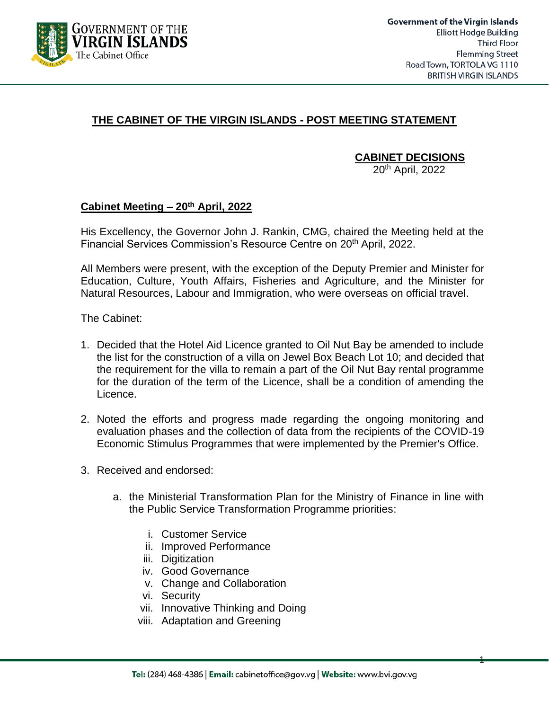

1

## **THE CABINET OF THE VIRGIN ISLANDS - POST MEETING STATEMENT**

**CABINET DECISIONS**

20th April, 2022

## **Cabinet Meeting – 20th April, 2022**

His Excellency, the Governor John J. Rankin, CMG, chaired the Meeting held at the Financial Services Commission's Resource Centre on 20<sup>th</sup> April, 2022.

All Members were present, with the exception of the Deputy Premier and Minister for Education, Culture, Youth Affairs, Fisheries and Agriculture, and the Minister for Natural Resources, Labour and Immigration, who were overseas on official travel.

The Cabinet:

- 1. Decided that the Hotel Aid Licence granted to Oil Nut Bay be amended to include the list for the construction of a villa on Jewel Box Beach Lot 10; and decided that the requirement for the villa to remain a part of the Oil Nut Bay rental programme for the duration of the term of the Licence, shall be a condition of amending the Licence.
- 2. Noted the efforts and progress made regarding the ongoing monitoring and evaluation phases and the collection of data from the recipients of the COVID-19 Economic Stimulus Programmes that were implemented by the Premier's Office.
- 3. Received and endorsed:
	- a. the Ministerial Transformation Plan for the Ministry of Finance in line with the Public Service Transformation Programme priorities:
		- i. Customer Service
		- ii. Improved Performance
		- iii. Digitization
		- iv. Good Governance
		- v. Change and Collaboration
		- vi. Security
		- vii. Innovative Thinking and Doing
		- viii. Adaptation and Greening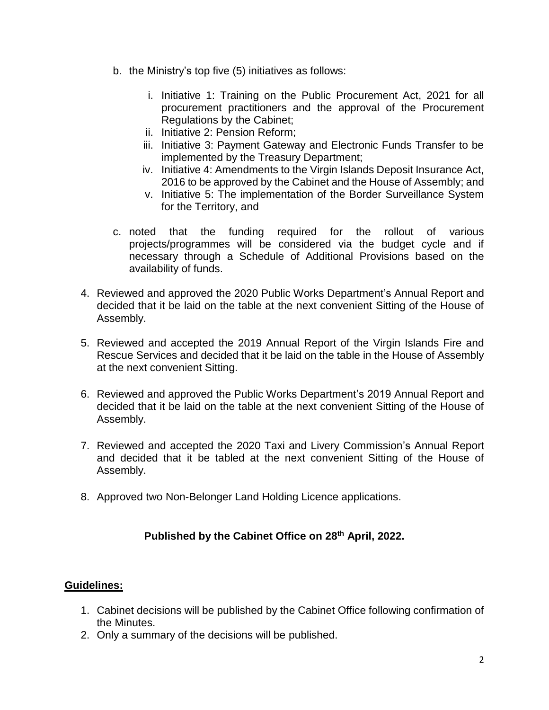- b. the Ministry's top five (5) initiatives as follows:
	- i. Initiative 1: Training on the Public Procurement Act, 2021 for all procurement practitioners and the approval of the Procurement Regulations by the Cabinet;
	- ii. Initiative 2: Pension Reform;
	- iii. Initiative 3: Payment Gateway and Electronic Funds Transfer to be implemented by the Treasury Department;
	- iv. Initiative 4: Amendments to the Virgin Islands Deposit Insurance Act, 2016 to be approved by the Cabinet and the House of Assembly; and
	- v. Initiative 5: The implementation of the Border Surveillance System for the Territory, and
- c. noted that the funding required for the rollout of various projects/programmes will be considered via the budget cycle and if necessary through a Schedule of Additional Provisions based on the availability of funds.
- 4. Reviewed and approved the 2020 Public Works Department's Annual Report and decided that it be laid on the table at the next convenient Sitting of the House of Assembly.
- 5. Reviewed and accepted the 2019 Annual Report of the Virgin Islands Fire and Rescue Services and decided that it be laid on the table in the House of Assembly at the next convenient Sitting.
- 6. Reviewed and approved the Public Works Department's 2019 Annual Report and decided that it be laid on the table at the next convenient Sitting of the House of Assembly.
- 7. Reviewed and accepted the 2020 Taxi and Livery Commission's Annual Report and decided that it be tabled at the next convenient Sitting of the House of Assembly.
- 8. Approved two Non-Belonger Land Holding Licence applications.

## **Published by the Cabinet Office on 28th April, 2022.**

## **Guidelines:**

- 1. Cabinet decisions will be published by the Cabinet Office following confirmation of the Minutes.
- 2. Only a summary of the decisions will be published.